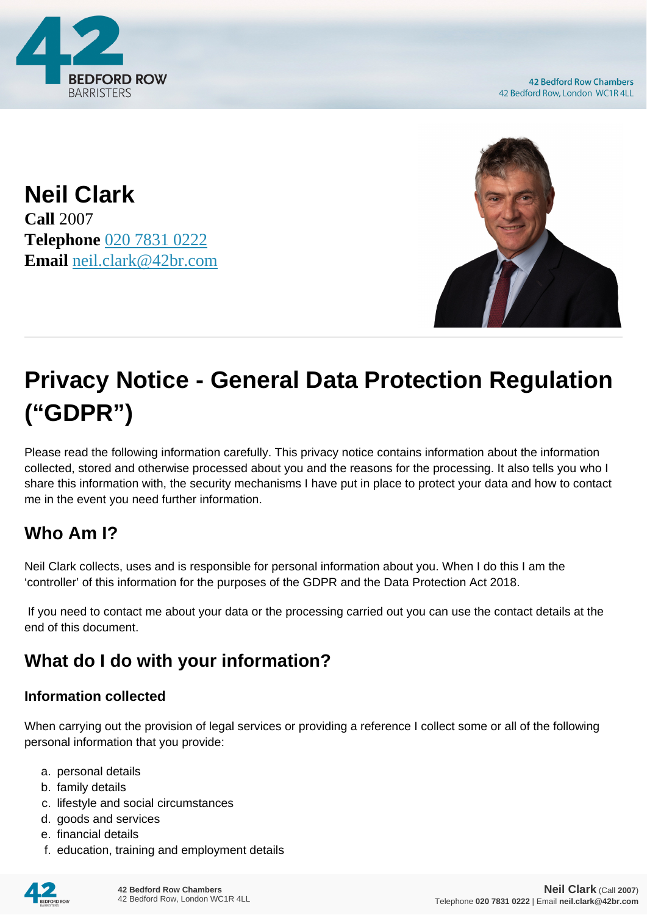

**42 Bedford Row Chambers** 42 Bedford Row, London WC1R 4LL

**Neil Clark Call** 2007 **Telephone** [020 7831 0222](https://pdf.codeshore.co/_42br/tel:020 7831 0222) **Email** [neil.clark@42br.com](mailto:neil.clark@42br.com)



# **Privacy Notice - General Data Protection Regulation ("GDPR")**

Please read the following information carefully. This privacy notice contains information about the information collected, stored and otherwise processed about you and the reasons for the processing. It also tells you who I share this information with, the security mechanisms I have put in place to protect your data and how to contact me in the event you need further information.

# **Who Am I?**

Neil Clark collects, uses and is responsible for personal information about you. When I do this I am the 'controller' of this information for the purposes of the GDPR and the Data Protection Act 2018.

 If you need to contact me about your data or the processing carried out you can use the contact details at the end of this document.

# **What do I do with your information?**

#### **Information collected**

When carrying out the provision of legal services or providing a reference I collect some or all of the following personal information that you provide:

- a. personal details
- b. family details
- c. lifestyle and social circumstances
- d. goods and services
- e. financial details
- f. education, training and employment details

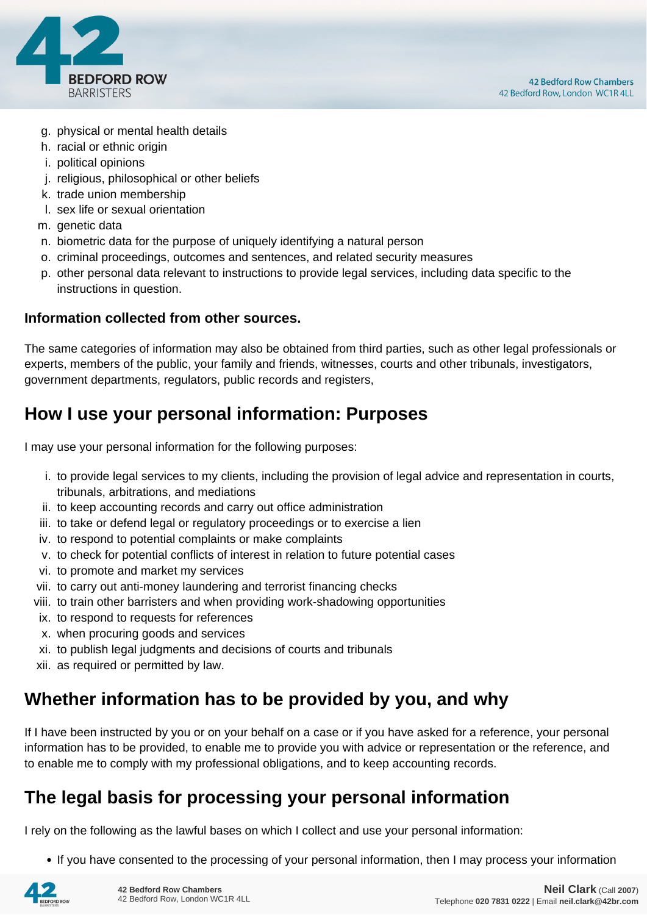

- g. physical or mental health details
- h. racial or ethnic origin
- i. political opinions
- j. religious, philosophical or other beliefs
- k. trade union membership
- l. sex life or sexual orientation
- m. genetic data
- n. biometric data for the purpose of uniquely identifying a natural person
- o. criminal proceedings, outcomes and sentences, and related security measures
- p. other personal data relevant to instructions to provide legal services, including data specific to the instructions in question.

#### **Information collected from other sources.**

The same categories of information may also be obtained from third parties, such as other legal professionals or experts, members of the public, your family and friends, witnesses, courts and other tribunals, investigators, government departments, regulators, public records and registers,

#### **How I use your personal information: Purposes**

I may use your personal information for the following purposes:

- i. to provide legal services to my clients, including the provision of legal advice and representation in courts, tribunals, arbitrations, and mediations
- ii. to keep accounting records and carry out office administration
- iii. to take or defend legal or regulatory proceedings or to exercise a lien
- iv. to respond to potential complaints or make complaints
- v. to check for potential conflicts of interest in relation to future potential cases
- vi. to promote and market my services
- vii. to carry out anti-money laundering and terrorist financing checks
- viii. to train other barristers and when providing work-shadowing opportunities
- ix. to respond to requests for references
- x. when procuring goods and services
- xi. to publish legal judgments and decisions of courts and tribunals
- xii. as required or permitted by law.

### **Whether information has to be provided by you, and why**

If I have been instructed by you or on your behalf on a case or if you have asked for a reference, your personal information has to be provided, to enable me to provide you with advice or representation or the reference, and to enable me to comply with my professional obligations, and to keep accounting records.

### **The legal basis for processing your personal information**

I rely on the following as the lawful bases on which I collect and use your personal information:

• If you have consented to the processing of your personal information, then I may process your information

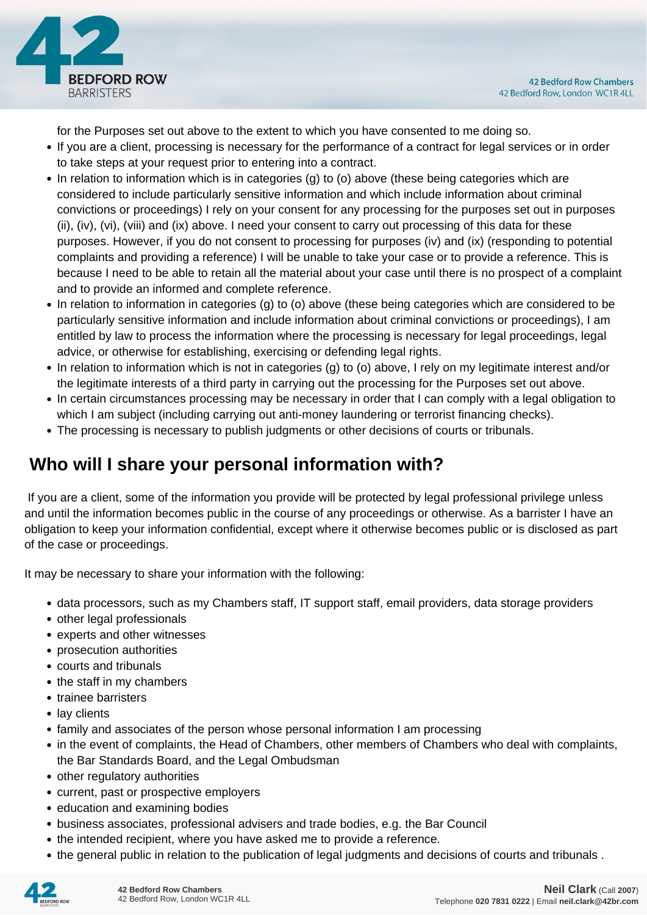

for the Purposes set out above to the extent to which you have consented to me doing so.

- If you are a client, processing is necessary for the performance of a contract for legal services or in order to take steps at your request prior to entering into a contract.
- In relation to information which is in categories (g) to (o) above (these being categories which are considered to include particularly sensitive information and which include information about criminal convictions or proceedings) I rely on your consent for any processing for the purposes set out in purposes (ii), (iv), (vi), (viii) and (ix) above. I need your consent to carry out processing of this data for these purposes. However, if you do not consent to processing for purposes (iv) and (ix) (responding to potential complaints and providing a reference) I will be unable to take your case or to provide a reference. This is because I need to be able to retain all the material about your case until there is no prospect of a complaint and to provide an informed and complete reference.
- In relation to information in categories (g) to (o) above (these being categories which are considered to be particularly sensitive information and include information about criminal convictions or proceedings), I am entitled by law to process the information where the processing is necessary for legal proceedings, legal advice, or otherwise for establishing, exercising or defending legal rights.
- In relation to information which is not in categories (g) to (o) above, I rely on my legitimate interest and/or the legitimate interests of a third party in carrying out the processing for the Purposes set out above.
- In certain circumstances processing may be necessary in order that I can comply with a legal obligation to which I am subject (including carrying out anti-money laundering or terrorist financing checks).
- The processing is necessary to publish judgments or other decisions of courts or tribunals.

# **Who will I share your personal information with?**

 If you are a client, some of the information you provide will be protected by legal professional privilege unless and until the information becomes public in the course of any proceedings or otherwise. As a barrister I have an obligation to keep your information confidential, except where it otherwise becomes public or is disclosed as part of the case or proceedings.

It may be necessary to share your information with the following:

- data processors, such as my Chambers staff, IT support staff, email providers, data storage providers
- other legal professionals
- experts and other witnesses
- prosecution authorities
- courts and tribunals
- the staff in my chambers
- trainee barristers
- lay clients
- family and associates of the person whose personal information I am processing
- in the event of complaints, the Head of Chambers, other members of Chambers who deal with complaints, the Bar Standards Board, and the Legal Ombudsman
- other regulatory authorities
- current, past or prospective employers
- education and examining bodies
- business associates, professional advisers and trade bodies, e.g. the Bar Council
- the intended recipient, where you have asked me to provide a reference.
- the general public in relation to the publication of legal judgments and decisions of courts and tribunals .

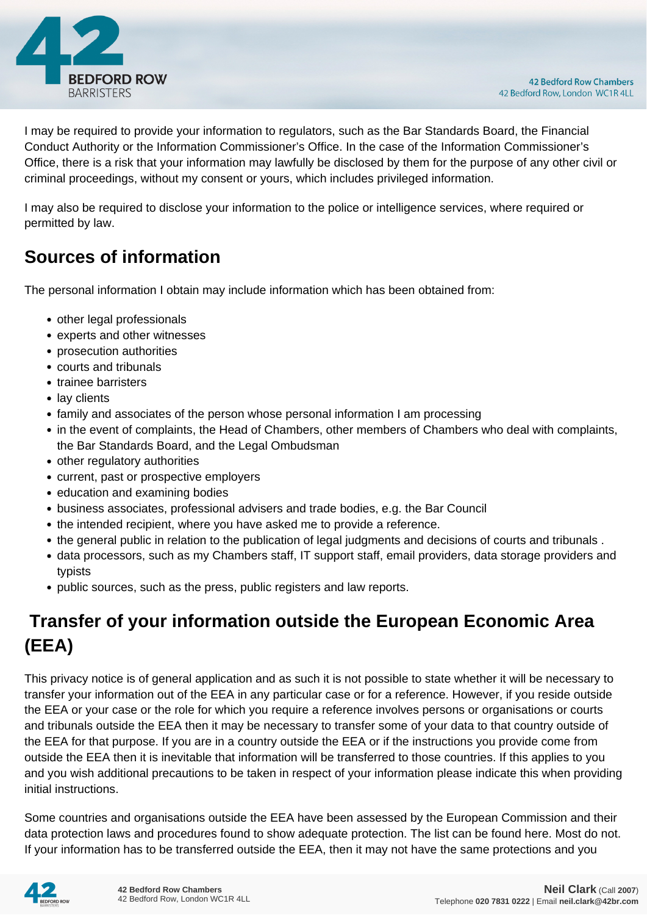

I may be required to provide your information to regulators, such as the Bar Standards Board, the Financial Conduct Authority or the Information Commissioner's Office. In the case of the Information Commissioner's Office, there is a risk that your information may lawfully be disclosed by them for the purpose of any other civil or criminal proceedings, without my consent or yours, which includes privileged information.

I may also be required to disclose your information to the police or intelligence services, where required or permitted by law.

# **Sources of information**

The personal information I obtain may include information which has been obtained from:

- other legal professionals
- experts and other witnesses
- prosecution authorities
- courts and tribunals
- trainee barristers
- lay clients
- family and associates of the person whose personal information I am processing
- in the event of complaints, the Head of Chambers, other members of Chambers who deal with complaints, the Bar Standards Board, and the Legal Ombudsman
- other regulatory authorities
- current, past or prospective employers
- education and examining bodies
- business associates, professional advisers and trade bodies, e.g. the Bar Council
- the intended recipient, where you have asked me to provide a reference.
- the general public in relation to the publication of legal judgments and decisions of courts and tribunals .
- data processors, such as my Chambers staff, IT support staff, email providers, data storage providers and typists
- public sources, such as the press, public registers and law reports.

# **Transfer of your information outside the European Economic Area (EEA)**

This privacy notice is of general application and as such it is not possible to state whether it will be necessary to transfer your information out of the EEA in any particular case or for a reference. However, if you reside outside the EEA or your case or the role for which you require a reference involves persons or organisations or courts and tribunals outside the EEA then it may be necessary to transfer some of your data to that country outside of the EEA for that purpose. If you are in a country outside the EEA or if the instructions you provide come from outside the EEA then it is inevitable that information will be transferred to those countries. If this applies to you and you wish additional precautions to be taken in respect of your information please indicate this when providing initial instructions.

Some countries and organisations outside the EEA have been assessed by the European Commission and their data protection laws and procedures found to show adequate protection. The list can be found here. Most do not. If your information has to be transferred outside the EEA, then it may not have the same protections and you

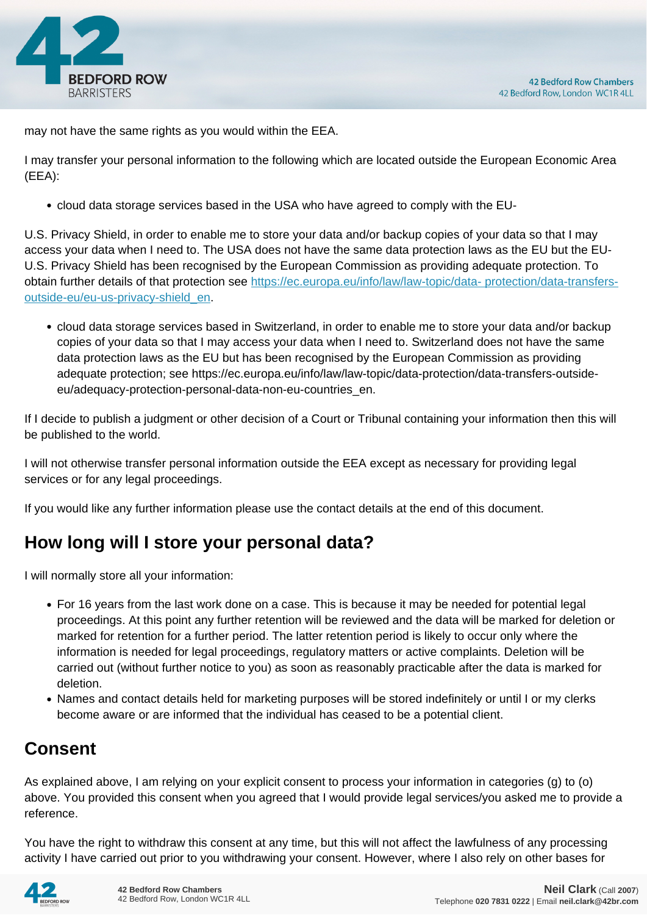

may not have the same rights as you would within the EEA.

I may transfer your personal information to the following which are located outside the European Economic Area (EEA):

cloud data storage services based in the USA who have agreed to comply with the EU-

U.S. Privacy Shield, in order to enable me to store your data and/or backup copies of your data so that I may access your data when I need to. The USA does not have the same data protection laws as the EU but the EU-U.S. Privacy Shield has been recognised by the European Commission as providing adequate protection. To obtain further details of that protection see [https://ec.europa.eu/info/law/law-topic/data- protection/data-transfers](https://ec.europa.eu/info/law/law-topic/data- protection/data-transfers-outside-eu/eu-us-privacy-shield_en)[outside-eu/eu-us-privacy-shield\\_en.](https://ec.europa.eu/info/law/law-topic/data- protection/data-transfers-outside-eu/eu-us-privacy-shield_en)

cloud data storage services based in Switzerland, in order to enable me to store your data and/or backup copies of your data so that I may access your data when I need to. Switzerland does not have the same data protection laws as the EU but has been recognised by the European Commission as providing adequate protection; see https://ec.europa.eu/info/law/law-topic/data-protection/data-transfers-outsideeu/adequacy-protection-personal-data-non-eu-countries\_en.

If I decide to publish a judgment or other decision of a Court or Tribunal containing your information then this will be published to the world.

I will not otherwise transfer personal information outside the EEA except as necessary for providing legal services or for any legal proceedings.

If you would like any further information please use the contact details at the end of this document.

# **How long will I store your personal data?**

I will normally store all your information:

- For 16 years from the last work done on a case. This is because it may be needed for potential legal proceedings. At this point any further retention will be reviewed and the data will be marked for deletion or marked for retention for a further period. The latter retention period is likely to occur only where the information is needed for legal proceedings, regulatory matters or active complaints. Deletion will be carried out (without further notice to you) as soon as reasonably practicable after the data is marked for deletion.
- Names and contact details held for marketing purposes will be stored indefinitely or until I or my clerks become aware or are informed that the individual has ceased to be a potential client.

# **Consent**

As explained above, I am relying on your explicit consent to process your information in categories (g) to (o) above. You provided this consent when you agreed that I would provide legal services/you asked me to provide a reference.

You have the right to withdraw this consent at any time, but this will not affect the lawfulness of any processing activity I have carried out prior to you withdrawing your consent. However, where I also rely on other bases for

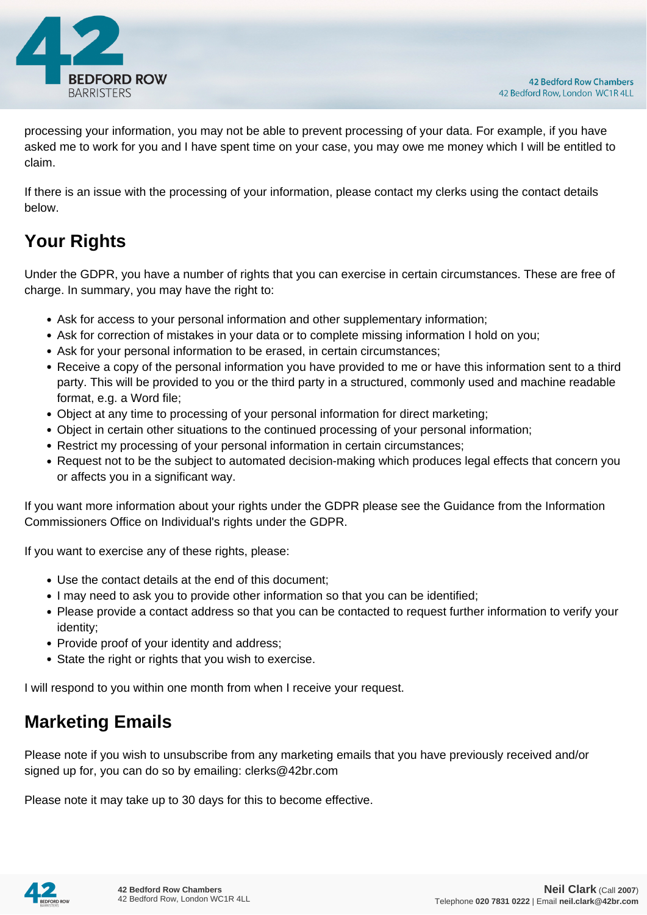

processing your information, you may not be able to prevent processing of your data. For example, if you have asked me to work for you and I have spent time on your case, you may owe me money which I will be entitled to claim.

If there is an issue with the processing of your information, please contact my clerks using the contact details below.

# **Your Rights**

Under the GDPR, you have a number of rights that you can exercise in certain circumstances. These are free of charge. In summary, you may have the right to:

- Ask for access to your personal information and other supplementary information;
- Ask for correction of mistakes in your data or to complete missing information I hold on you;
- Ask for your personal information to be erased, in certain circumstances;
- Receive a copy of the personal information you have provided to me or have this information sent to a third party. This will be provided to you or the third party in a structured, commonly used and machine readable format, e.g. a Word file;
- Object at any time to processing of your personal information for direct marketing;
- Object in certain other situations to the continued processing of your personal information;
- Restrict my processing of your personal information in certain circumstances;
- Request not to be the subject to automated decision-making which produces legal effects that concern you or affects you in a significant way.

If you want more information about your rights under the GDPR please see the Guidance from the Information Commissioners Office on Individual's rights under the GDPR.

If you want to exercise any of these rights, please:

- Use the contact details at the end of this document;
- I may need to ask you to provide other information so that you can be identified;
- Please provide a contact address so that you can be contacted to request further information to verify your identity;
- Provide proof of your identity and address;
- State the right or rights that you wish to exercise.

I will respond to you within one month from when I receive your request.

### **Marketing Emails**

Please note if you wish to unsubscribe from any marketing emails that you have previously received and/or signed up for, you can do so by emailing: clerks@42br.com

Please note it may take up to 30 days for this to become effective.